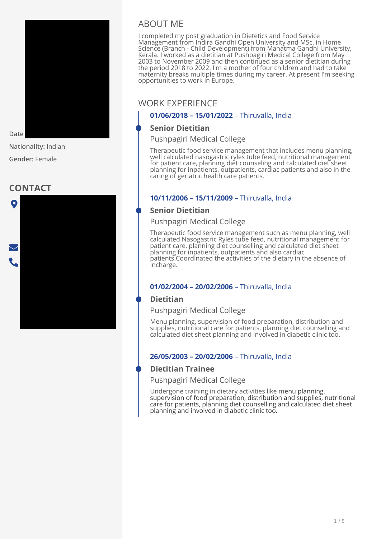

Date

**Nationality:** Indian

**Gender:** Female

# **CONTACT**



# ABOUT ME

I completed my post graduation in Dietetics and Food Service Management from Indira Gandhi Open University and MSc. in Home Science (Branch - Child Development) from Mahatma Gandhi University, Kerala. I worked as a dietitian at Pushpagiri Medical College from May 2003 to November 2009 and then continued as a senior dietitian during the period 2018 to 2022. I'm a mother of four children and had to take maternity breaks multiple times during my career. At present I'm seeking opportunities to work in Europe.

# **Gincy** WORK EXPERIENCE

### **01/06/2018 – 15/01/2022** – Thiruvalla, India

## **Senior Dietitian**

Pushpagiri Medical College

Therapeutic food service management that includes menu planning, well calculated nasogastric ryles tube feed, nutritional management for patient care, planning diet counseling and calculated diet sheet planning for inpatients, outpatients, cardiac patients and also in the caring of geriatric health care patients.

### **10/11/2006 – 15/11/2009** – Thiruvalla, India

## **Senior Dietitian**

Pushpagiri Medical College

Therapeutic food service management such as menu planning, well calculated Nasogastric Ryles tube feed, nutritional management for patient care, planning diet counselling and calculated diet sheet planning for inpatients, outpatients and also cardiac patients.Coordinated the activities of the dietary in the absence of Incharge.

### **01/02/2004 – 20/02/2006** – Thiruvalla, India

### **Dietitian**

Pushpagiri Medical College

Menu planning, supervision of food preparation, distribution and supplies, nutritional care for patients, planning diet counselling and calculated diet sheet planning and involved in diabetic clinic too.

#### **26/05/2003 – 20/02/2006** – Thiruvalla, India

### **Dietitian Trainee**

Pushpagiri Medical College

Undergone training in dietary activities like menu planning, supervision of food preparation, distribution and supplies, nutritional care for patients, planning diet counselling and calculated diet sheet planning and involved in diabetic clinic too.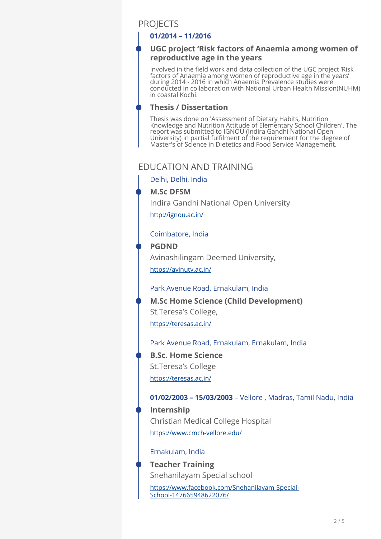# **PROJECTS**

#### **01/2014 – 11/2016**

#### **UGC project 'Risk factors of Anaemia among women of reproductive age in the years**

Involved in the field work and data collection of the UGC project 'Risk factors of Anaemia among women of reproductive age in the years' during 2014 - 2016 in which Anaemia Prevalence studies were conducted in collaboration with National Urban Health Mission(NUHM) in coastal Kochi.

#### **Thesis / Dissertation**

Thesis was done on 'Assessment of Dietary Habits, Nutrition Knowledge and Nutrition Attitude of Elementary School Children'. The report was submitted to IGNOU (Indira Gandhi National Open University) in partial fulfilment of the requirement for the degree of Master's of Science in Dietetics and Food Service Management.

# EDUCATION AND TRAINING

Delhi, Delhi, India

### **M.Sc DFSM**

Indira Gandhi National Open University

<http://ignou.ac.in/>

### Coimbatore, India

#### **PGDND**

Avinashilingam Deemed University,

<https://avinuty.ac.in/>

#### Park Avenue Road, Ernakulam, India

<https://teresas.ac.in/> **M.Sc Home Science (Child Development)**  St.Teresa's College,

Park Avenue Road, Ernakulam, Ernakulam, India <https://teresas.ac.in/> **B.Sc. Home Science**  St.Teresa's College

### **01/02/2003 – 15/03/2003** – Vellore , Madras, Tamil Nadu, India

<https://www.cmch-vellore.edu/> **Internship**  Christian Medical College Hospital

#### Ernakulam, India

**Teacher Training**  Snehanilayam Special school

[https://www.facebook.com/Snehanilayam-Special-](https://www.facebook.com/Snehanilayam-Special-School-147665948622076/)[School-147665948622076/](https://www.facebook.com/Snehanilayam-Special-School-147665948622076/)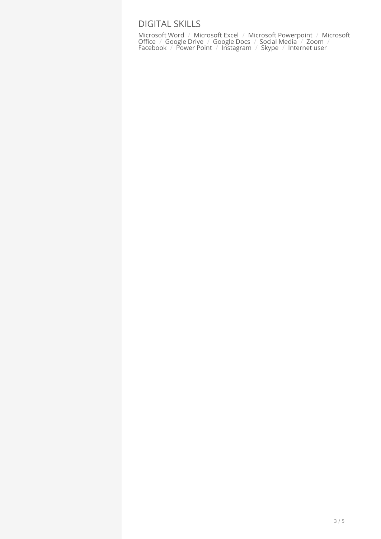# DIGITAL SKILLS

Microsoft Word / Microsoft Excel / Microsoft Powerpoint / Microsoft Office / Google Drive / Google Docs / Social Media / Zoom / Facebook / Power Point / Instagram / Skype / Internet user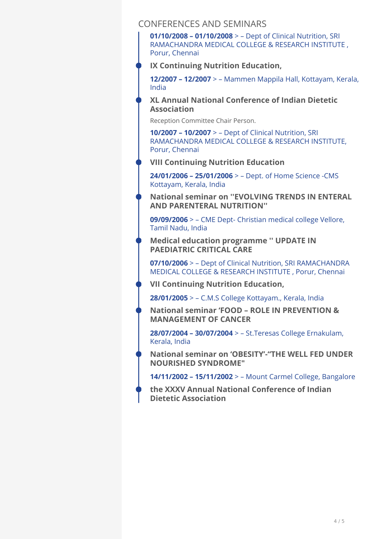### CONFERENCES AND SEMINARS

**01/10/2008 – 01/10/2008** > – Dept of Clinical Nutrition, SRI RAMACHANDRA MEDICAL COLLEGE & RESEARCH INSTITUTE , Porur, Chennai

**IX Continuing Nutrition Education,** 

**12/2007 – 12/2007** > – Mammen Mappila Hall, Kottayam, Kerala, India

**XL Annual National Conference of Indian Dietetic Association** 

Reception Committee Chair Person.

**10/2007 – 10/2007** > – Dept of Clinical Nutrition, SRI RAMACHANDRA MEDICAL COLLEGE & RESEARCH INSTITUTE, Porur, Chennai

**VIII Continuing Nutrition Education** 

**24/01/2006 – 25/01/2006** > – Dept. of Home Science -CMS Kottayam, Kerala, India

**National seminar on ''EVOLVING TRENDS IN ENTERAL AND PARENTERAL NUTRITION''** 

**09/09/2006** > – CME Dept- Christian medical college Vellore, Tamil Nadu, India

**Medical education programme '' UPDATE IN PAEDIATRIC CRITICAL CARE** 

**07/10/2006** > – Dept of Clinical Nutrition, SRI RAMACHANDRA MEDICAL COLLEGE & RESEARCH INSTITUTE , Porur, Chennai

**VII Continuing Nutrition Education,** 

**28/01/2005** > – C.M.S College Kottayam., Kerala, India

**National seminar 'FOOD – ROLE IN PREVENTION & MANAGEMENT OF CANCER** 

**28/07/2004 – 30/07/2004** > – St.Teresas College Ernakulam, Kerala, India

**National seminar on 'OBESITY'-"THE WELL FED UNDER NOURISHED SYNDROME"** 

**14/11/2002 – 15/11/2002** > – Mount Carmel College, Bangalore

**the XXXV Annual National Conference of Indian Dietetic Association**